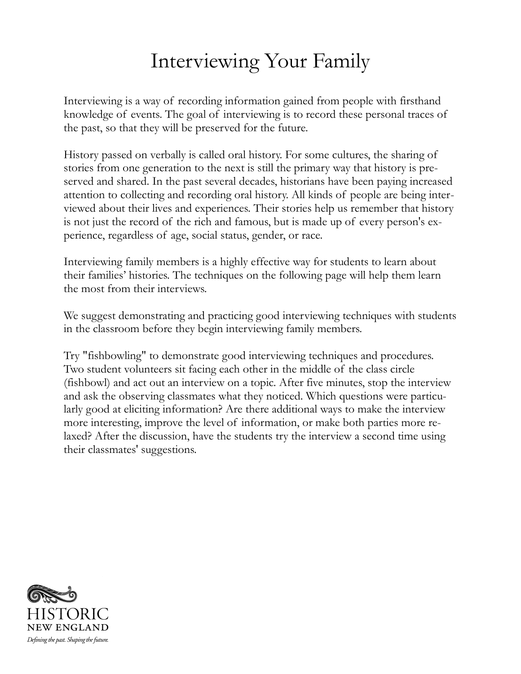### Interviewing Your Family

Interviewing is a way of recording information gained from people with firsthand knowledge of events. The goal of interviewing is to record these personal traces of the past, so that they will be preserved for the future.

History passed on verbally is called oral history. For some cultures, the sharing of stories from one generation to the next is still the primary way that history is preserved and shared. In the past several decades, historians have been paying increased attention to collecting and recording oral history. All kinds of people are being interviewed about their lives and experiences. Their stories help us remember that history is not just the record of the rich and famous, but is made up of every person's experience, regardless of age, social status, gender, or race.

Interviewing family members is a highly effective way for students to learn about their families' histories. The techniques on the following page will help them learn the most from their interviews.

We suggest demonstrating and practicing good interviewing techniques with students in the classroom before they begin interviewing family members.

Try "fishbowling" to demonstrate good interviewing techniques and procedures. Two student volunteers sit facing each other in the middle of the class circle (fishbowl) and act out an interview on a topic. After five minutes, stop the interview and ask the observing classmates what they noticed. Which questions were particularly good at eliciting information? Are there additional ways to make the interview more interesting, improve the level of information, or make both parties more relaxed? After the discussion, have the students try the interview a second time using their classmates' suggestions.

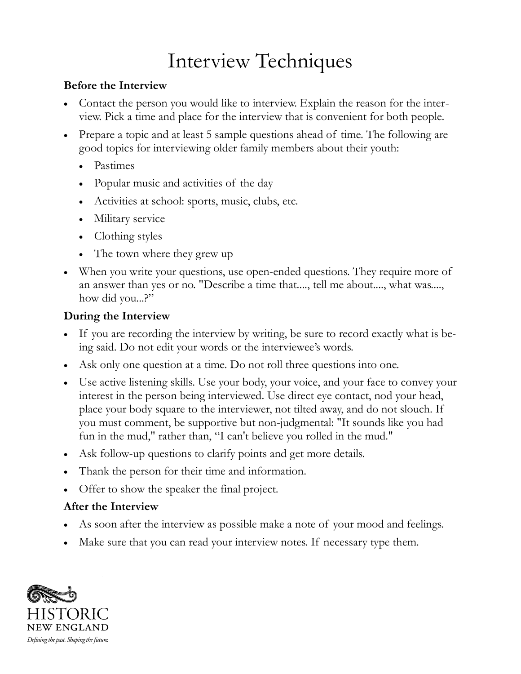## Interview Techniques

#### **Before the Interview**

- Contact the person you would like to interview. Explain the reason for the interview. Pick a time and place for the interview that is convenient for both people.
- Prepare a topic and at least 5 sample questions ahead of time. The following are good topics for interviewing older family members about their youth:
	- Pastimes
	- Popular music and activities of the day
	- Activities at school: sports, music, clubs, etc.
	- Military service
	- Clothing styles
	- The town where they grew up
- When you write your questions, use open-ended questions. They require more of an answer than yes or no. "Describe a time that...., tell me about...., what was...., how did you...?"

### **During the Interview**

- If you are recording the interview by writing, be sure to record exactly what is being said. Do not edit your words or the interviewee's words.
- Ask only one question at a time. Do not roll three questions into one.
- Use active listening skills. Use your body, your voice, and your face to convey your interest in the person being interviewed. Use direct eye contact, nod your head, place your body square to the interviewer, not tilted away, and do not slouch. If you must comment, be supportive but non-judgmental: "It sounds like you had fun in the mud," rather than, "I can't believe you rolled in the mud."
- Ask follow-up questions to clarify points and get more details.
- Thank the person for their time and information.
- Offer to show the speaker the final project.

### **After the Interview**

- As soon after the interview as possible make a note of your mood and feelings.
- Make sure that you can read your interview notes. If necessary type them.